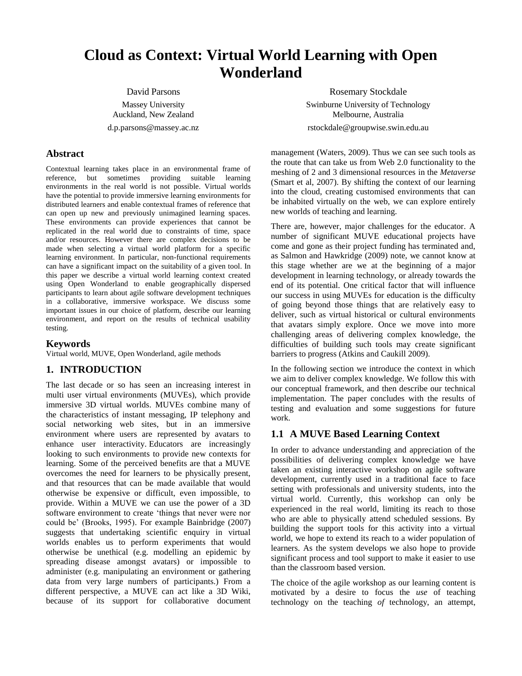# **Cloud as Context: Virtual World Learning with Open Wonderland**

David Parsons Massey University Auckland, New Zealand d.p.parsons@massey.ac.nz

## **Abstract**

Contextual learning takes place in an environmental frame of reference, but sometimes providing suitable learning environments in the real world is not possible. Virtual worlds have the potential to provide immersive learning environments for distributed learners and enable contextual frames of reference that can open up new and previously unimagined learning spaces. These environments can provide experiences that cannot be replicated in the real world due to constraints of time, space and/or resources. However there are complex decisions to be made when selecting a virtual world platform for a specific learning environment. In particular, non-functional requirements can have a significant impact on the suitability of a given tool. In this paper we describe a virtual world learning context created using Open Wonderland to enable geographically dispersed participants to learn about agile software development techniques in a collaborative, immersive workspace. We discuss some important issues in our choice of platform, describe our learning environment, and report on the results of technical usability testing.

# **Keywords**

Virtual world, MUVE, Open Wonderland, agile methods

# **1. INTRODUCTION**

The last decade or so has seen an increasing interest in multi user virtual environments (MUVEs), which provide immersive 3D virtual worlds. MUVEs combine many of the characteristics of instant messaging, IP telephony and social networking web sites, but in an immersive environment where users are represented by avatars to enhance user interactivity. Educators are increasingly looking to such environments to provide new contexts for learning. Some of the perceived benefits are that a MUVE overcomes the need for learners to be physically present, and that resources that can be made available that would otherwise be expensive or difficult, even impossible, to provide. Within a MUVE we can use the power of a 3D software environment to create 'things that never were nor could be' (Brooks, 1995). For example Bainbridge (2007) suggests that undertaking scientific enquiry in virtual worlds enables us to perform experiments that would otherwise be unethical (e.g. modelling an epidemic by spreading disease amongst avatars) or impossible to administer (e.g. manipulating an environment or gathering data from very large numbers of participants.) From a different perspective, a MUVE can act like a 3D Wiki, because of its support for collaborative document

Rosemary Stockdale Swinburne University of Technology Melbourne, Australia rstockdale@groupwise.swin.edu.au

management (Waters, 2009). Thus we can see such tools as the route that can take us from Web 2.0 functionality to the meshing of 2 and 3 dimensional resources in the *Metaverse* (Smart et al, 2007). By shifting the context of our learning into the cloud, creating customised environments that can be inhabited virtually on the web, we can explore entirely new worlds of teaching and learning.

There are, however, major challenges for the educator. A number of significant MUVE educational projects have come and gone as their project funding has terminated and, as Salmon and Hawkridge (2009) note, we cannot know at this stage whether are we at the beginning of a major development in learning technology, or already towards the end of its potential. One critical factor that will influence our success in using MUVEs for education is the difficulty of going beyond those things that are relatively easy to deliver, such as virtual historical or cultural environments that avatars simply explore. Once we move into more challenging areas of delivering complex knowledge, the difficulties of building such tools may create significant barriers to progress (Atkins and Caukill 2009).

In the following section we introduce the context in which we aim to deliver complex knowledge. We follow this with our conceptual framework, and then describe our technical implementation. The paper concludes with the results of testing and evaluation and some suggestions for future work.

# **1.1 A MUVE Based Learning Context**

In order to advance understanding and appreciation of the possibilities of delivering complex knowledge we have taken an existing interactive workshop on agile software development, currently used in a traditional face to face setting with professionals and university students, into the virtual world. Currently, this workshop can only be experienced in the real world, limiting its reach to those who are able to physically attend scheduled sessions. By building the support tools for this activity into a virtual world, we hope to extend its reach to a wider population of learners. As the system develops we also hope to provide significant process and tool support to make it easier to use than the classroom based version.

The choice of the agile workshop as our learning content is motivated by a desire to focus the *use* of teaching technology on the teaching *of* technology, an attempt,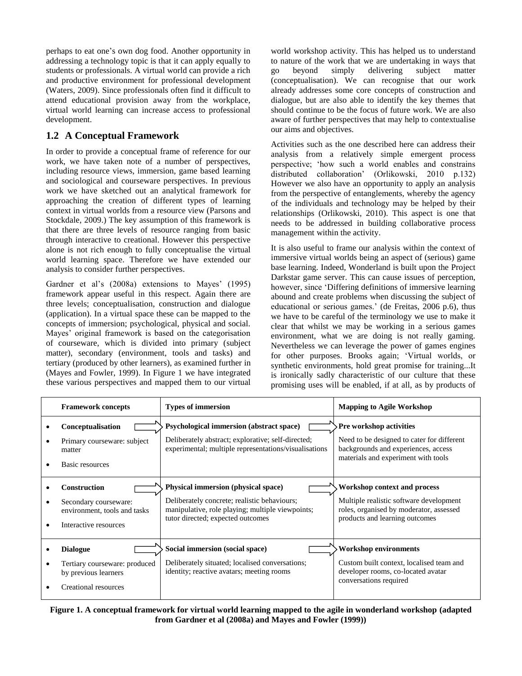perhaps to eat one's own dog food. Another opportunity in addressing a technology topic is that it can apply equally to students or professionals. A virtual world can provide a rich and productive environment for professional development (Waters, 2009). Since professionals often find it difficult to attend educational provision away from the workplace, virtual world learning can increase access to professional development.

# **1.2 A Conceptual Framework**

In order to provide a conceptual frame of reference for our work, we have taken note of a number of perspectives, including resource views, immersion, game based learning and sociological and courseware perspectives. In previous work we have sketched out an analytical framework for approaching the creation of different types of learning context in virtual worlds from a resource view (Parsons and Stockdale, 2009.) The key assumption of this framework is that there are three levels of resource ranging from basic through interactive to creational. However this perspective alone is not rich enough to fully conceptualise the virtual world learning space. Therefore we have extended our analysis to consider further perspectives.

Gardner et al's (2008a) extensions to Mayes' (1995) framework appear useful in this respect. Again there are three levels; conceptualisation, construction and dialogue (application). In a virtual space these can be mapped to the concepts of immersion; psychological, physical and social. Mayes' original framework is based on the categorisation of courseware, which is divided into primary (subject matter), secondary (environment, tools and tasks) and tertiary (produced by other learners), as examined further in (Mayes and Fowler, 1999). In Figure 1 we have integrated these various perspectives and mapped them to our virtual

world workshop activity. This has helped us to understand to nature of the work that we are undertaking in ways that go beyond simply delivering subject matter (conceptualisation). We can recognise that our work already addresses some core concepts of construction and dialogue, but are also able to identify the key themes that should continue to be the focus of future work. We are also aware of further perspectives that may help to contextualise our aims and objectives.

Activities such as the one described here can address their analysis from a relatively simple emergent process perspective; 'how such a world enables and constrains distributed collaboration' (Orlikowski, 2010 p.132) However we also have an opportunity to apply an analysis from the perspective of entanglements, whereby the agency of the individuals and technology may be helped by their relationships (Orlikowski, 2010). This aspect is one that needs to be addressed in building collaborative process management within the activity.

It is also useful to frame our analysis within the context of immersive virtual worlds being an aspect of (serious) game base learning. Indeed, Wonderland is built upon the Project Darkstar game server. This can cause issues of perception, however, since 'Differing definitions of immersive learning abound and create problems when discussing the subject of educational or serious games.' (de Freitas, 2006 p.6), thus we have to be careful of the terminology we use to make it clear that whilst we may be working in a serious games environment, what we are doing is not really gaming. Nevertheless we can leverage the power of games engines for other purposes. Brooks again; 'Virtual worlds, or synthetic environments, hold great promise for training...It is ironically sadly characteristic of our culture that these promising uses will be enabled, if at all, as by products of

| <b>Framework concepts</b>                                                                             | <b>Types of immersion</b>                                                                                                                                                           | <b>Mapping to Agile Workshop</b>                                                                                                                            |
|-------------------------------------------------------------------------------------------------------|-------------------------------------------------------------------------------------------------------------------------------------------------------------------------------------|-------------------------------------------------------------------------------------------------------------------------------------------------------------|
| Conceptualisation<br>Primary courseware: subject<br>matter<br>Basic resources                         | Psychological immersion (abstract space)<br>Deliberately abstract; explorative; self-directed;<br>experimental; multiple representations/visualisations                             | <b>Pre workshop activities</b><br>Need to be designed to cater for different<br>backgrounds and experiences, access<br>materials and experiment with tools  |
| <b>Construction</b><br>Secondary courseware:<br>environment, tools and tasks<br>Interactive resources | <b>Physical immersion (physical space)</b><br>Deliberately concrete; realistic behaviours;<br>manipulative, role playing; multiple viewpoints;<br>tutor directed; expected outcomes | <b>Workshop context and process</b><br>Multiple realistic software development<br>roles, organised by moderator, assessed<br>products and learning outcomes |
| <b>Dialogue</b><br>Tertiary courseware: produced<br>by previous learners<br>Creational resources      | Social immersion (social space)<br>Deliberately situated; localised conversations;<br>identity; reactive avatars; meeting rooms                                                     | <b>Workshop environments</b><br>Custom built context, localised team and<br>developer rooms, co-located avatar<br>conversations required                    |

## **Figure 1. A conceptual framework for virtual world learning mapped to the agile in wonderland workshop (adapted from Gardner et al (2008a) and Mayes and Fowler (1999))**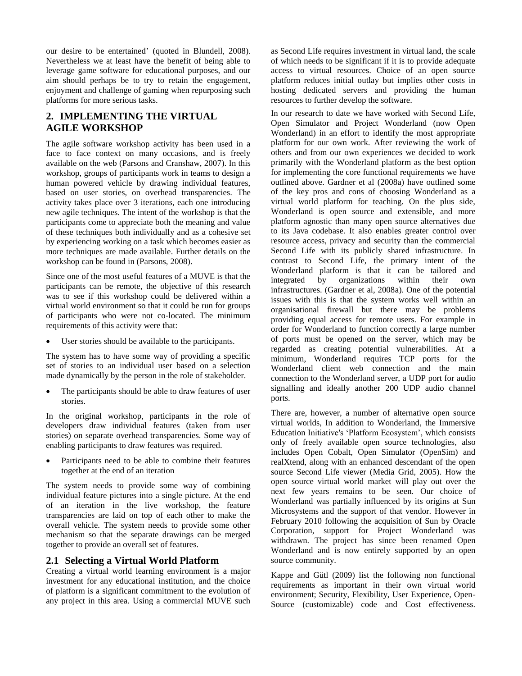our desire to be entertained' (quoted in Blundell, 2008). Nevertheless we at least have the benefit of being able to leverage game software for educational purposes, and our aim should perhaps be to try to retain the engagement, enjoyment and challenge of gaming when repurposing such platforms for more serious tasks.

# **2. IMPLEMENTING THE VIRTUAL AGILE WORKSHOP**

The agile software workshop activity has been used in a face to face context on many occasions, and is freely available on the web (Parsons and Cranshaw, 2007). In this workshop, groups of participants work in teams to design a human powered vehicle by drawing individual features, based on user stories, on overhead transparencies. The activity takes place over 3 iterations, each one introducing new agile techniques. The intent of the workshop is that the participants come to appreciate both the meaning and value of these techniques both individually and as a cohesive set by experiencing working on a task which becomes easier as more techniques are made available. Further details on the workshop can be found in (Parsons, 2008).

Since one of the most useful features of a MUVE is that the participants can be remote, the objective of this research was to see if this workshop could be delivered within a virtual world environment so that it could be run for groups of participants who were not co-located. The minimum requirements of this activity were that:

User stories should be available to the participants.

The system has to have some way of providing a specific set of stories to an individual user based on a selection made dynamically by the person in the role of stakeholder.

 The participants should be able to draw features of user stories.

In the original workshop, participants in the role of developers draw individual features (taken from user stories) on separate overhead transparencies. Some way of enabling participants to draw features was required.

 Participants need to be able to combine their features together at the end of an iteration

The system needs to provide some way of combining individual feature pictures into a single picture. At the end of an iteration in the live workshop, the feature transparencies are laid on top of each other to make the overall vehicle. The system needs to provide some other mechanism so that the separate drawings can be merged together to provide an overall set of features.

# **2.1 Selecting a Virtual World Platform**

Creating a virtual world learning environment is a major investment for any educational institution, and the choice of platform is a significant commitment to the evolution of any project in this area. Using a commercial MUVE such

as Second Life requires investment in virtual land, the scale of which needs to be significant if it is to provide adequate access to virtual resources. Choice of an open source platform reduces initial outlay but implies other costs in hosting dedicated servers and providing the human resources to further develop the software.

In our research to date we have worked with Second Life, Open Simulator and Project Wonderland (now Open Wonderland) in an effort to identify the most appropriate platform for our own work. After reviewing the work of others and from our own experiences we decided to work primarily with the Wonderland platform as the best option for implementing the core functional requirements we have outlined above. Gardner et al (2008a) have outlined some of the key pros and cons of choosing Wonderland as a virtual world platform for teaching. On the plus side, Wonderland is open source and extensible, and more platform agnostic than many open source alternatives due to its Java codebase. It also enables greater control over resource access, privacy and security than the commercial Second Life with its publicly shared infrastructure. In contrast to Second Life, the primary intent of the Wonderland platform is that it can be tailored and integrated by organizations within their own infrastructures. (Gardner et al, 2008a). One of the potential issues with this is that the system works well within an organisational firewall but there may be problems providing equal access for remote users. For example in order for Wonderland to function correctly a large number of ports must be opened on the server, which may be regarded as creating potential vulnerabilities. At a minimum, Wonderland requires TCP ports for the Wonderland client web connection and the main connection to the Wonderland server, a UDP port for audio signalling and ideally another 200 UDP audio channel ports.

There are, however, a number of alternative open source virtual worlds, In addition to Wonderland, the Immersive Education Initiative's 'Platform Ecosystem', which consists only of freely available open source technologies, also includes Open Cobalt, Open Simulator (OpenSim) and realXtend, along with an enhanced descendant of the open source Second Life viewer (Media Grid, 2005). How the open source virtual world market will play out over the next few years remains to be seen. Our choice of Wonderland was partially influenced by its origins at Sun Microsystems and the support of that vendor. However in February 2010 following the acquisition of Sun by Oracle Corporation, support for Project Wonderland was withdrawn. The project has since been renamed Open Wonderland and is now entirely supported by an open source community.

Kappe and Gütl (2009) list the following non functional requirements as important in their own virtual world environment; Security, Flexibility, User Experience, Open-Source (customizable) code and Cost effectiveness.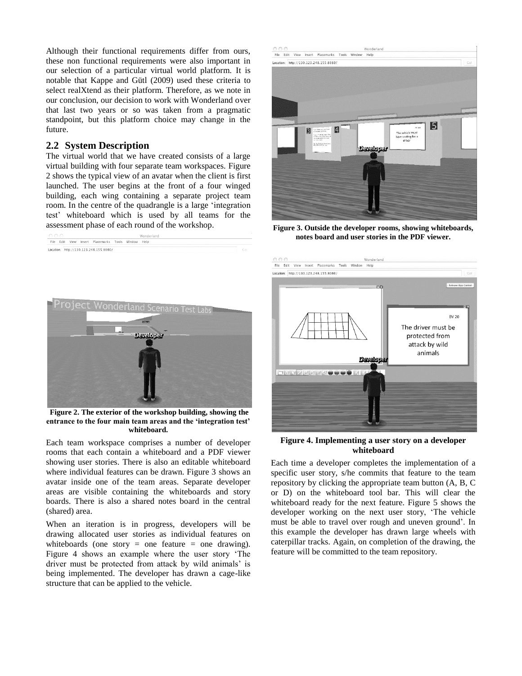Although their functional requirements differ from ours, these non functional requirements were also important in our selection of a particular virtual world platform. It is notable that Kappe and Gütl (2009) used these criteria to select realXtend as their platform. Therefore, as we note in our conclusion, our decision to work with Wonderland over that last two years or so was taken from a pragmatic standpoint, but this platform choice may change in the future.

#### **2.2 System Description**

The virtual world that we have created consists of a large virtual building with four separate team workspaces. Figure 2 shows the typical view of an avatar when the client is first launched. The user begins at the front of a four winged building, each wing containing a separate project team room. In the centre of the quadrangle is a large 'integration test' whiteboard which is used by all teams for the assessment phase of each round of the workshop.



**Figure 2. The exterior of the workshop building, showing the entrance to the four main team areas and the 'integration test' whiteboard.** 

Each team workspace comprises a number of developer rooms that each contain a whiteboard and a PDF viewer showing user stories. There is also an editable whiteboard where individual features can be drawn. Figure 3 shows an avatar inside one of the team areas. Separate developer areas are visible containing the whiteboards and story boards. There is also a shared notes board in the central (shared) area.

When an iteration is in progress, developers will be drawing allocated user stories as individual features on whiteboards (one story  $=$  one feature  $=$  one drawing). Figure 4 shows an example where the user story 'The driver must be protected from attack by wild animals' is being implemented. The developer has drawn a cage-like structure that can be applied to the vehicle.



**Figure 3. Outside the developer rooms, showing whiteboards, notes board and user stories in the PDF viewer.**



**Figure 4. Implementing a user story on a developer whiteboard**

Each time a developer completes the implementation of a specific user story, s/he commits that feature to the team repository by clicking the appropriate team button (A, B, C or D) on the whiteboard tool bar. This will clear the whiteboard ready for the next feature. Figure 5 shows the developer working on the next user story, 'The vehicle must be able to travel over rough and uneven ground'. In this example the developer has drawn large wheels with caterpillar tracks. Again, on completion of the drawing, the feature will be committed to the team repository.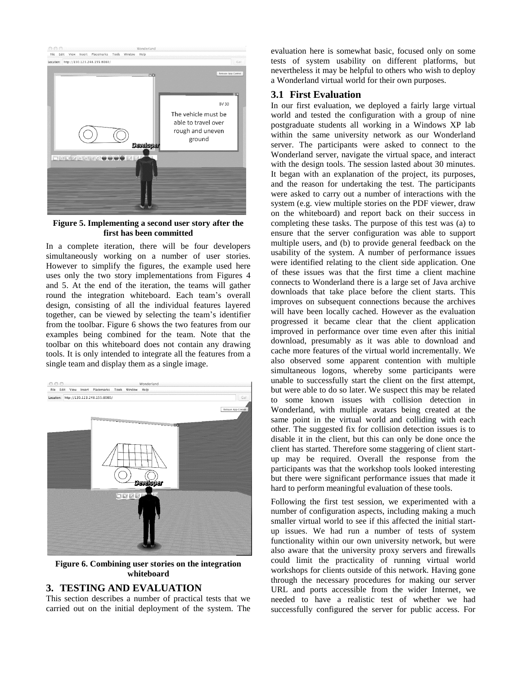

#### **Figure 5. Implementing a second user story after the first has been committed**

In a complete iteration, there will be four developers simultaneously working on a number of user stories. However to simplify the figures, the example used here uses only the two story implementations from Figures 4 and 5. At the end of the iteration, the teams will gather round the integration whiteboard. Each team's overall design, consisting of all the individual features layered together, can be viewed by selecting the team's identifier from the toolbar. Figure 6 shows the two features from our examples being combined for the team. Note that the toolbar on this whiteboard does not contain any drawing tools. It is only intended to integrate all the features from a single team and display them as a single image.



**Figure 6. Combining user stories on the integration whiteboard**

## **3. TESTING AND EVALUATION**

This section describes a number of practical tests that we carried out on the initial deployment of the system. The evaluation here is somewhat basic, focused only on some tests of system usability on different platforms, but nevertheless it may be helpful to others who wish to deploy a Wonderland virtual world for their own purposes.

## **3.1 First Evaluation**

In our first evaluation, we deployed a fairly large virtual world and tested the configuration with a group of nine postgraduate students all working in a Windows XP lab within the same university network as our Wonderland server. The participants were asked to connect to the Wonderland server, navigate the virtual space, and interact with the design tools. The session lasted about 30 minutes. It began with an explanation of the project, its purposes, and the reason for undertaking the test. The participants were asked to carry out a number of interactions with the system (e.g. view multiple stories on the PDF viewer, draw on the whiteboard) and report back on their success in completing these tasks. The purpose of this test was (a) to ensure that the server configuration was able to support multiple users, and (b) to provide general feedback on the usability of the system. A number of performance issues were identified relating to the client side application. One of these issues was that the first time a client machine connects to Wonderland there is a large set of Java archive downloads that take place before the client starts. This improves on subsequent connections because the archives will have been locally cached. However as the evaluation progressed it became clear that the client application improved in performance over time even after this initial download, presumably as it was able to download and cache more features of the virtual world incrementally. We also observed some apparent contention with multiple simultaneous logons, whereby some participants were unable to successfully start the client on the first attempt, but were able to do so later. We suspect this may be related to some known issues with collision detection in Wonderland, with multiple avatars being created at the same point in the virtual world and colliding with each other. The suggested fix for collision detection issues is to disable it in the client, but this can only be done once the client has started. Therefore some staggering of client startup may be required. Overall the response from the participants was that the workshop tools looked interesting but there were significant performance issues that made it hard to perform meaningful evaluation of these tools.

Following the first test session, we experimented with a number of configuration aspects, including making a much smaller virtual world to see if this affected the initial startup issues. We had run a number of tests of system functionality within our own university network, but were also aware that the university proxy servers and firewalls could limit the practicality of running virtual world workshops for clients outside of this network. Having gone through the necessary procedures for making our server URL and ports accessible from the wider Internet, we needed to have a realistic test of whether we had successfully configured the server for public access. For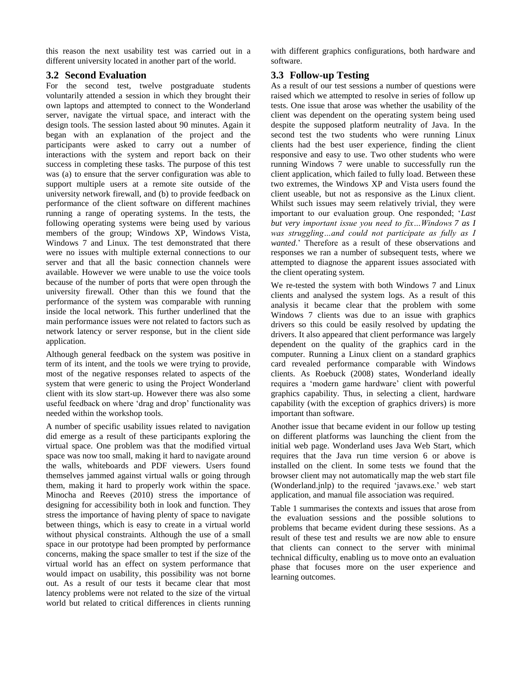this reason the next usability test was carried out in a different university located in another part of the world.

# **3.2 Second Evaluation**

For the second test, twelve postgraduate students voluntarily attended a session in which they brought their own laptops and attempted to connect to the Wonderland server, navigate the virtual space, and interact with the design tools. The session lasted about 90 minutes. Again it began with an explanation of the project and the participants were asked to carry out a number of interactions with the system and report back on their success in completing these tasks. The purpose of this test was (a) to ensure that the server configuration was able to support multiple users at a remote site outside of the university network firewall, and (b) to provide feedback on performance of the client software on different machines running a range of operating systems. In the tests, the following operating systems were being used by various members of the group; Windows XP, Windows Vista, Windows 7 and Linux. The test demonstrated that there were no issues with multiple external connections to our server and that all the basic connection channels were available. However we were unable to use the voice tools because of the number of ports that were open through the university firewall. Other than this we found that the performance of the system was comparable with running inside the local network. This further underlined that the main performance issues were not related to factors such as network latency or server response, but in the client side application.

Although general feedback on the system was positive in term of its intent, and the tools we were trying to provide, most of the negative responses related to aspects of the system that were generic to using the Project Wonderland client with its slow start-up. However there was also some useful feedback on where 'drag and drop' functionality was needed within the workshop tools.

A number of specific usability issues related to navigation did emerge as a result of these participants exploring the virtual space. One problem was that the modified virtual space was now too small, making it hard to navigate around the walls, whiteboards and PDF viewers. Users found themselves jammed against virtual walls or going through them, making it hard to properly work within the space. Minocha and Reeves (2010) stress the importance of designing for accessibility both in look and function. They stress the importance of having plenty of space to navigate between things, which is easy to create in a virtual world without physical constraints. Although the use of a small space in our prototype had been prompted by performance concerns, making the space smaller to test if the size of the virtual world has an effect on system performance that would impact on usability, this possibility was not borne out. As a result of our tests it became clear that most latency problems were not related to the size of the virtual world but related to critical differences in clients running

with different graphics configurations, both hardware and software.

# **3.3 Follow-up Testing**

As a result of our test sessions a number of questions were raised which we attempted to resolve in series of follow up tests. One issue that arose was whether the usability of the client was dependent on the operating system being used despite the supposed platform neutrality of Java. In the second test the two students who were running Linux clients had the best user experience, finding the client responsive and easy to use. Two other students who were running Windows 7 were unable to successfully run the client application, which failed to fully load. Between these two extremes, the Windows XP and Vista users found the client useable, but not as responsive as the Linux client. Whilst such issues may seem relatively trivial, they were important to our evaluation group. One responded; '*Last but very important issue you need to fix…Windows 7 as I was struggling…and could not participate as fully as I wanted*.' Therefore as a result of these observations and responses we ran a number of subsequent tests, where we attempted to diagnose the apparent issues associated with the client operating system.

We re-tested the system with both Windows 7 and Linux clients and analysed the system logs. As a result of this analysis it became clear that the problem with some Windows 7 clients was due to an issue with graphics drivers so this could be easily resolved by updating the drivers. It also appeared that client performance was largely dependent on the quality of the graphics card in the computer. Running a Linux client on a standard graphics card revealed performance comparable with Windows clients. As Roebuck (2008) states, Wonderland ideally requires a 'modern game hardware' client with powerful graphics capability. Thus, in selecting a client, hardware capability (with the exception of graphics drivers) is more important than software.

Another issue that became evident in our follow up testing on different platforms was launching the client from the initial web page. Wonderland uses Java Web Start, which requires that the Java run time version 6 or above is installed on the client. In some tests we found that the browser client may not automatically map the web start file (Wonderland.jnlp) to the required 'javaws.exe.' web start application, and manual file association was required.

Table 1 summarises the contexts and issues that arose from the evaluation sessions and the possible solutions to problems that became evident during these sessions. As a result of these test and results we are now able to ensure that clients can connect to the server with minimal technical difficulty, enabling us to move onto an evaluation phase that focuses more on the user experience and learning outcomes.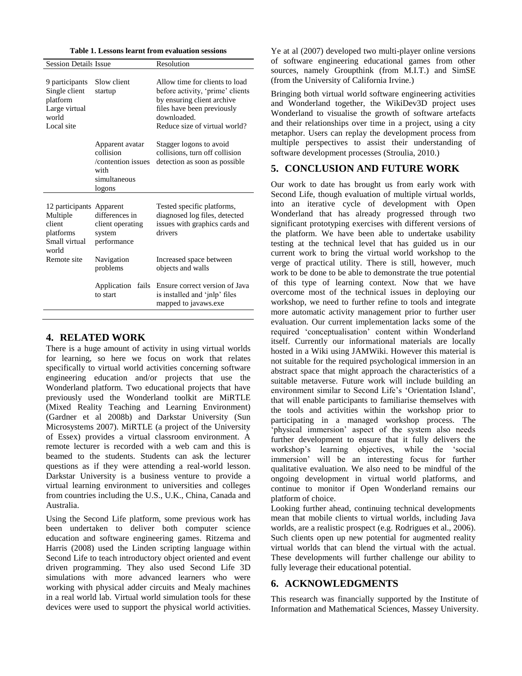|  |  | Table 1. Lessons learnt from evaluation sessions |  |  |
|--|--|--------------------------------------------------|--|--|
|--|--|--------------------------------------------------|--|--|

| <b>Session Details Issue</b>                                                                                                                         |                                                                                      | Resolution                                                                                                                                                                     |  |
|------------------------------------------------------------------------------------------------------------------------------------------------------|--------------------------------------------------------------------------------------|--------------------------------------------------------------------------------------------------------------------------------------------------------------------------------|--|
| 9 participants<br>Single client<br>platform<br>Large virtual<br>world<br>Local site                                                                  | Slow client<br>startup                                                               | Allow time for clients to load<br>before activity, 'prime' clients<br>by ensuring client archive<br>files have been previously<br>downloaded.<br>Reduce size of virtual world? |  |
|                                                                                                                                                      | Apparent avatar<br>collision<br>/contention issues<br>with<br>simultaneous<br>logons | Stagger logons to avoid<br>collisions, turn off collision<br>detection as soon as possible                                                                                     |  |
| 12 participants Apparent<br>differences in<br>Multiple<br>client<br>client operating<br>platforms<br>system<br>Small virtual<br>performance<br>world |                                                                                      | Tested specific platforms,<br>diagnosed log files, detected<br>issues with graphics cards and<br>drivers                                                                       |  |
| Remote site                                                                                                                                          | Navigation<br>problems                                                               | Increased space between<br>objects and walls                                                                                                                                   |  |
|                                                                                                                                                      | Application<br>fails<br>to start                                                     | Ensure correct version of Java<br>is installed and 'jnlp' files<br>mapped to javaws.exe                                                                                        |  |

#### **4. RELATED WORK**

There is a huge amount of activity in using virtual worlds for learning, so here we focus on work that relates specifically to virtual world activities concerning software engineering education and/or projects that use the Wonderland platform. Two educational projects that have previously used the Wonderland toolkit are MiRTLE (Mixed Reality Teaching and Learning Environment) (Gardner et al 2008b) and Darkstar University (Sun Microsystems 2007). MiRTLE (a project of the University of Essex) provides a virtual classroom environment. A remote lecturer is recorded with a web cam and this is beamed to the students. Students can ask the lecturer questions as if they were attending a real-world lesson. Darkstar University is a business venture to provide a virtual learning environment to universities and colleges from countries including the U.S., U.K., China, Canada and Australia.

Using the Second Life platform, some previous work has been undertaken to deliver both computer science education and software engineering games. Ritzema and Harris (2008) used the Linden scripting language within Second Life to teach introductory object oriented and event driven programming. They also used Second Life 3D simulations with more advanced learners who were working with physical adder circuits and Mealy machines in a real world lab. Virtual world simulation tools for these devices were used to support the physical world activities.

Ye at al (2007) developed two multi-player online versions of software engineering educational games from other sources, namely Groupthink (from M.I.T.) and SimSE (from the University of California Irvine.)

Bringing both virtual world software engineering activities and Wonderland together, the WikiDev3D project uses Wonderland to visualise the growth of software artefacts and their relationships over time in a project, using a city metaphor. Users can replay the development process from multiple perspectives to assist their understanding of software development processes (Stroulia, 2010.)

#### **5. CONCLUSION AND FUTURE WORK**

Our work to date has brought us from early work with Second Life, though evaluation of multiple virtual worlds, into an iterative cycle of development with Open Wonderland that has already progressed through two significant prototyping exercises with different versions of the platform. We have been able to undertake usability testing at the technical level that has guided us in our current work to bring the virtual world workshop to the verge of practical utility. There is still, however, much work to be done to be able to demonstrate the true potential of this type of learning context. Now that we have overcome most of the technical issues in deploying our workshop, we need to further refine to tools and integrate more automatic activity management prior to further user evaluation. Our current implementation lacks some of the required 'conceptualisation' content within Wonderland itself. Currently our informational materials are locally hosted in a Wiki using JAMWiki. However this material is not suitable for the required psychological immersion in an abstract space that might approach the characteristics of a suitable metaverse. Future work will include building an environment similar to Second Life's 'Orientation Island', that will enable participants to familiarise themselves with the tools and activities within the workshop prior to participating in a managed workshop process. The 'physical immersion' aspect of the system also needs further development to ensure that it fully delivers the workshop's learning objectives, while the 'social immersion' will be an interesting focus for further qualitative evaluation. We also need to be mindful of the ongoing development in virtual world platforms, and continue to monitor if Open Wonderland remains our platform of choice.

Looking further ahead, continuing technical developments mean that mobile clients to virtual worlds, including Java worlds, are a realistic prospect (e.g. Rodrigues et al., 2006). Such clients open up new potential for augmented reality virtual worlds that can blend the virtual with the actual. These developments will further challenge our ability to fully leverage their educational potential.

#### **6. ACKNOWLEDGMENTS**

This research was financially supported by the Institute of Information and Mathematical Sciences, Massey University.